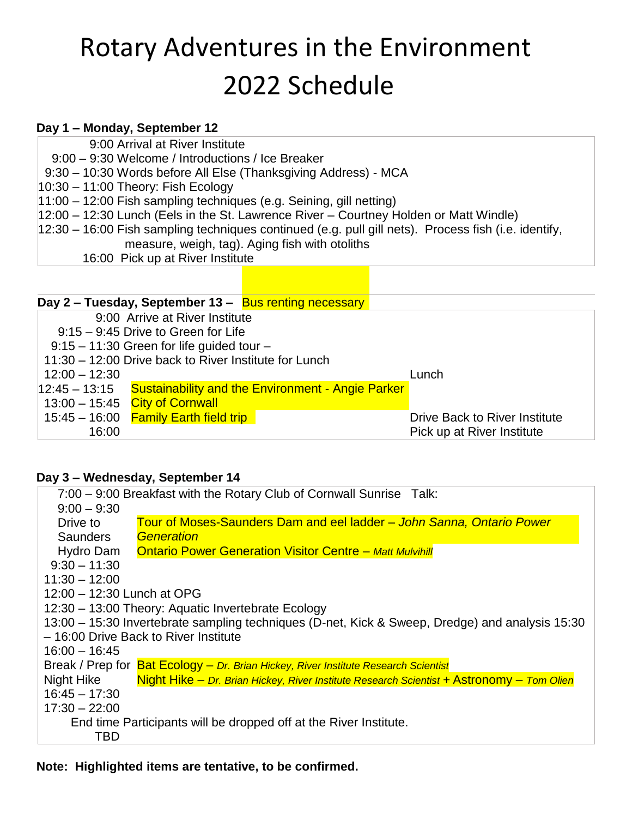## Rotary Adventures in the Environment 2022 Schedule

## **Day 1 – Monday, September 12**

9:00 Arrival at River Institute

9:00 – 9:30 Welcome / Introductions / Ice Breaker

9:30 – 10:30 Words before All Else (Thanksgiving Address) - MCA

10:30 – 11:00 Theory: Fish Ecology

11:00 – 12:00 Fish sampling techniques (e.g. Seining, gill netting)

- 12:00 12:30 Lunch (Eels in the St. Lawrence River Courtney Holden or Matt Windle)
- 12:30 16:00 Fish sampling techniques continued (e.g. pull gill nets). Process fish (i.e. identify, measure, weigh, tag). Aging fish with otoliths
	- 16:00 Pick up at River Institute

|                                                       |                 | Day 2 – Tuesday, September 13 – Bus renting necessary           |  |       |                               |  |
|-------------------------------------------------------|-----------------|-----------------------------------------------------------------|--|-------|-------------------------------|--|
|                                                       |                 | 9:00 Arrive at River Institute                                  |  |       |                               |  |
|                                                       |                 | $9:15 - 9:45$ Drive to Green for Life                           |  |       |                               |  |
|                                                       |                 | $9:15 - 11:30$ Green for life guided tour -                     |  |       |                               |  |
| 11:30 - 12:00 Drive back to River Institute for Lunch |                 |                                                                 |  |       |                               |  |
|                                                       | $12:00 - 12:30$ |                                                                 |  | Lunch |                               |  |
|                                                       |                 | 12:45 – 13:15 Sustainability and the Environment - Angie Parker |  |       |                               |  |
|                                                       |                 | $13:00 - 15:45$ City of Cornwall                                |  |       |                               |  |
|                                                       |                 | $15:45 - 16:00$ Family Earth field trip                         |  |       | Drive Back to River Institute |  |
|                                                       | 16:00           |                                                                 |  |       | Pick up at River Institute    |  |

## **Day 3 – Wednesday, September 14**

7:00 – 9:00 Breakfast with the Rotary Club of Cornwall Sunrise Talk:  $9:00 - 9:30$ Drive to **Saunders** Hydro Dam  $9:30 - 11:30$ 11:30 – 12:00 12:00 – 12:30 Lunch at OPG 12:30 – 13:00 Theory: Aquatic Invertebrate Ecology 13:00 – 15:30 Invertebrate sampling techniques (D-net, Kick & Sweep, Dredge) and analysis 15:30 – 16:00 Drive Back to River Institute 16:00 – 16:45 Break / Prep for Rat Ecology – *Dr. Brian Hickey, River Institute Research Scientist* Night Hike 16:45 – 17:30 17:30 – 22:00 End time Participants will be dropped off at the River Institute. **TBD** Tour of Moses-Saunders Dam and eel ladder – *John Sanna, Ontario Power Generation* Ontario Power Generation Visitor Centre – *Matt Mulvihill* Night Hike – *Dr. Brian Hickey, River Institute Research Scientist* + Astronomy – *Tom Olien*

**Note: Highlighted items are tentative, to be confirmed.**